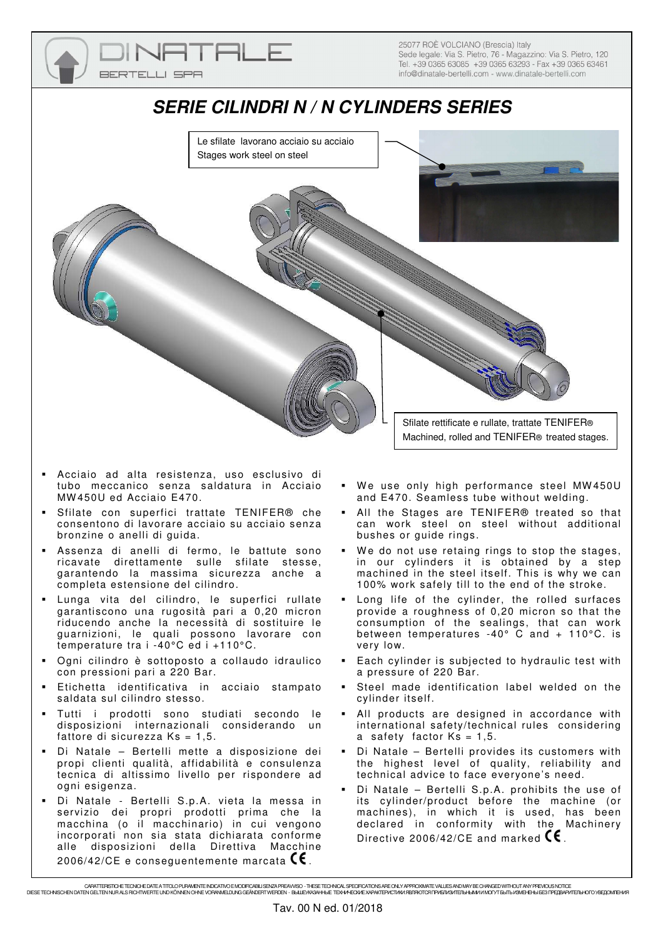

- Acciaio ad alta resistenza, uso esclusivo di tubo meccanico senza saldatura in Acciaio MW 450U ed Acciaio E470.
- Sfilate con superfici trattate TENIFER® che consentono di lavorare acciaio su acciaio senza bronzine o anelli di guida.
- Assenza di anelli di fermo, le battute sono ricavate direttamente sulle sfilate stesse, garantendo la massima sicurezza anche a completa estensione del cilindro.
- Lunga vita del cilindro, le superfici rullate garantiscono una rugosità pari a 0,20 micron riducendo anche la necessità di sostituire le guarnizioni, le quali possono lavorare con temperature tra i -40°C ed i +110°C.
- Ogni cilindro è sottoposto a collaudo idraulico con pressioni pari a 220 Bar.
- Etichetta identificativa in acciaio stampato saldata sul cilindro stesso.
- Tutti i prodotti sono studiati secondo le disposizioni internazionali considerando un fattore di sicurezza  $Ks = 1,5$ .
- Di Natale Bertelli mette a disposizione dei propi clienti qualità, affidabilità e consulenza tecnica di altissimo livello per rispondere ad ogni esigenza.
- Di Natale Bertelli S.p.A. vieta la messa in servizio dei propri prodotti prima che la macchina (o il macchinario) in cui vengono incorporati non sia stata dichiarata conforme alle disposizioni della Direttiva Macchine 2006/42/CE e consequentemente marcata  $\mathsf{C}\mathsf{E}$  .
- We use only high performance steel MW450U and E470. Seamless tube without welding.
- All the Stages are TENIFER® treated so that can work steel on steel without additional bushes or guide rings.
- We do not use retaing rings to stop the stages, in our cylinders it is obtained by a step machined in the steel itself. This is why we can 100% work safely till to the end of the stroke.
- Long life of the cylinder, the rolled surfaces provide a roughness of 0,20 micron so that the consumption of the sealings, that can work between temperatures  $-40^{\circ}$  C and  $+110^{\circ}$ C. is very low.
- Each cylinder is subjected to hydraulic test with a pressure of 220 Bar.
- Steel made identification label welded on the cylinder itself.
- All products are designed in accordance with international safety/technical rules considering a safety factor  $Ks = 1,5$ .
- Di Natale Bertelli provides its customers with the highest level of quality, reliability and technical advice to face everyone's need.
- Di Natale Bertelli S.p.A. prohibits the use of its cylinder/product before the machine (or machines), in which it is used, has been declared in conformity with the Machinery Directive 2006/42/CE and marked  $\mathsf{CE}$ .

ORATTERSTORETEN ORDER EN EN ER EN ER EN ER EN ER ET EN ER ET ET ELEGT ET ELEGT ET ELEGT ET ELEGT EN EN ELEGT E<br>DIESE TECHNISCHEN UND TYTEN GELTEN NUR ALS RICHTWEHR EN EN EN EN EN EN EN EN EN ERSTE ET EN ALLEGT EN EN EN EN<br>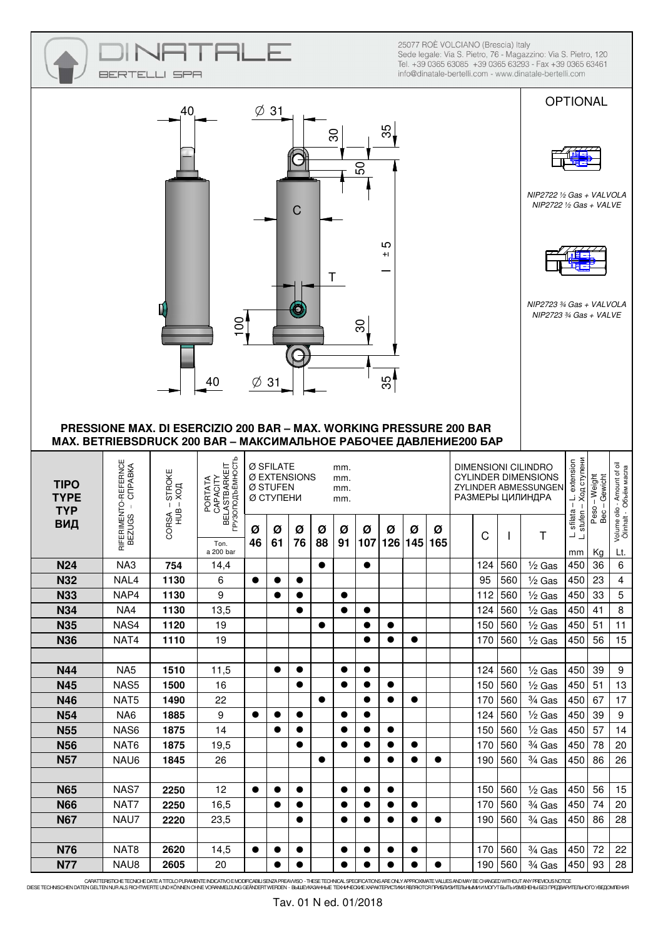|                            | BERTEL                                                                                                                                   | SPA                     |                                                          |                                                                                                                     |           |           |           |           |                |                                                                                                                                                         |           |           |  | 25077 ROÈ VOLCIANO (Brescia) Italy |                | Sede legale: Via S. Pietro, 76 - Magazzino: Via S. Pietro, 120<br>Tel. +39 0365 63085 +39 0365 63293 - Fax +39 0365 63461<br>info@dinatale-bertelli.com - www.dinatale-bertelli.com |                                                             |                                 |                                                          |
|----------------------------|------------------------------------------------------------------------------------------------------------------------------------------|-------------------------|----------------------------------------------------------|---------------------------------------------------------------------------------------------------------------------|-----------|-----------|-----------|-----------|----------------|---------------------------------------------------------------------------------------------------------------------------------------------------------|-----------|-----------|--|------------------------------------|----------------|-------------------------------------------------------------------------------------------------------------------------------------------------------------------------------------|-------------------------------------------------------------|---------------------------------|----------------------------------------------------------|
|                            |                                                                                                                                          | 40                      |                                                          | Ø                                                                                                                   | 31        |           |           | 8         | 50             | 55,                                                                                                                                                     |           |           |  |                                    |                |                                                                                                                                                                                     | <b>OPTIONAL</b>                                             |                                 |                                                          |
|                            |                                                                                                                                          |                         |                                                          |                                                                                                                     |           | C         |           | Τ         |                | ပ<br>$^{+}$                                                                                                                                             |           |           |  |                                    |                | NIP2722 1/2 Gas + VALVOLA<br>NIP2722 $\frac{1}{2}$ Gas + VALVE                                                                                                                      |                                                             |                                 |                                                          |
|                            |                                                                                                                                          |                         | 100<br>40                                                | Ø                                                                                                                   | 31        |           |           |           | $\overline{6}$ | 35                                                                                                                                                      |           |           |  |                                    |                | NIP2723 3/4 Gas + VALVOLA<br>NIP2723 $%$ Gas + VALVE                                                                                                                                |                                                             |                                 |                                                          |
|                            | PRESSIONE MAX. DI ESERCIZIO 200 BAR - MAX. WORKING PRESSURE 200 BAR<br>MAX. BETRIEBSDRUCK 200 BAR - МАКСИМАЛЬНОЕ РАБОЧЕЕ ДАВЛЕНИЕ200 БАР |                         |                                                          |                                                                                                                     |           |           |           |           |                |                                                                                                                                                         |           |           |  |                                    |                |                                                                                                                                                                                     |                                                             |                                 |                                                          |
| <b>TIPO</b><br><b>TYPE</b> |                                                                                                                                          | $-$ STROKE              |                                                          | Ø SFILATE<br>mm.<br>Ø EXTENSIONS<br>mm.<br>Ø STUFEN<br>mm.<br><b>Ø СТУПЕНИ</b><br>mm.<br>Ø<br>Ø<br>Ø<br>Ø<br>Ø<br>Ø |           |           |           |           |                | <b>DIMENSIONI CILINDRO</b><br><b>CYLINDER DIMENSIONS</b><br>ZYLINDER ABMESSUNGEN<br>РАЗМЕРЫ ЦИЛИНДРА<br>Ø<br>Ø<br>Ü<br>Ι.<br>91   107   126   145   165 |           |           |  |                                    |                |                                                                                                                                                                                     |                                                             |                                 |                                                          |
| <b>TYP</b><br>ВИД          |                                                                                                                                          | $-x$<br>ШЯ<br>ORSA<br>O | CAPACITY<br>BELASTBARKEIT<br>FPY3ONOДЪЁМНОСТЬ<br>PORTATA |                                                                                                                     |           |           |           |           |                | Ø                                                                                                                                                       |           |           |  |                                    |                | J.                                                                                                                                                                                  | Ход ступени<br>-L. extension<br>sfilata -<br>stufen<br>نے ب | Peso - Weight<br>Gewicht<br>Bec | ume olio - Amount of oil<br>linhalt - Obbëm macna<br>o و |
|                            | RIFERIMENTO-REFERNCE<br>BEZUGS – CIPABKA                                                                                                 |                         | Ton.<br>a 200 bar                                        | 46                                                                                                                  | 61        | 76        | 88        |           |                |                                                                                                                                                         |           |           |  |                                    |                |                                                                                                                                                                                     | mm                                                          | Kg                              |                                                          |
| <b>N24</b>                 | NA3                                                                                                                                      | 754                     | 14,4                                                     |                                                                                                                     |           |           | $\bullet$ |           | $\bullet$      |                                                                                                                                                         |           |           |  | 124                                | 560            | $\frac{1}{2}$ Gas                                                                                                                                                                   | 450                                                         | 36                              | 6                                                        |
| <b>N32</b>                 | NAL4                                                                                                                                     | 1130                    | 6                                                        | $\bullet$                                                                                                           | $\bullet$ | $\bullet$ |           |           |                |                                                                                                                                                         |           |           |  | 95                                 | 560            | $\frac{1}{2}$ Gas                                                                                                                                                                   | 450                                                         | 23                              | 4                                                        |
| <b>N33</b>                 | NAP4                                                                                                                                     | 1130                    | 9                                                        |                                                                                                                     | $\bullet$ |           |           | $\bullet$ |                |                                                                                                                                                         |           |           |  | 112                                | 560            | $\frac{1}{2}$ Gas                                                                                                                                                                   | 450                                                         | 33                              | 5                                                        |
| <b>N34</b>                 | NA4                                                                                                                                      | 1130                    | 13,5                                                     |                                                                                                                     |           |           | $\bullet$ | $\bullet$ | $\bullet$      | $\bullet$                                                                                                                                               |           |           |  | 124                                | 560            | $\frac{1}{2}$ Gas                                                                                                                                                                   | 450                                                         | 41                              | Lt.<br>8                                                 |
| <b>N35</b><br><b>N36</b>   | NAS4<br>NAT4                                                                                                                             | 1120<br>1110            | 19<br>19                                                 |                                                                                                                     |           |           |           |           | $\bullet$      | $\bullet$                                                                                                                                               | $\bullet$ |           |  | 150<br>170                         | 560<br>560     | $\frac{1}{2}$ Gas                                                                                                                                                                   | 450<br>450                                                  | 51<br>56                        | 11<br>15                                                 |
|                            |                                                                                                                                          |                         |                                                          |                                                                                                                     |           |           |           |           |                |                                                                                                                                                         |           |           |  |                                    |                | $\frac{1}{2}$ Gas                                                                                                                                                                   |                                                             |                                 |                                                          |
| <b>N44</b>                 | NA <sub>5</sub>                                                                                                                          | 1510                    | 11,5                                                     |                                                                                                                     | $\bullet$ | $\bullet$ |           | $\bullet$ | $\bullet$      |                                                                                                                                                         |           |           |  | 124                                | 560            | $\frac{1}{2}$ Gas                                                                                                                                                                   | 450                                                         | 39                              | 9                                                        |
| <b>N45</b>                 | NAS5                                                                                                                                     | 1500                    | 16                                                       |                                                                                                                     |           | $\bullet$ |           | $\bullet$ | $\bullet$      | $\bullet$                                                                                                                                               |           |           |  | 150                                | 560            | $\frac{1}{2}$ Gas                                                                                                                                                                   | 450                                                         | 51                              | 13                                                       |
| N46                        | NAT5                                                                                                                                     | 1490                    | 22                                                       |                                                                                                                     |           |           | $\bullet$ |           | $\bullet$      | $\bullet$                                                                                                                                               | $\bullet$ |           |  | 170                                | 560            | $3/4$ Gas                                                                                                                                                                           | 450                                                         | 67                              | 17                                                       |
| <b>N54</b>                 | NA6                                                                                                                                      | 1885                    | 9                                                        | $\bullet$                                                                                                           | $\bullet$ | $\bullet$ |           | $\bullet$ | $\bullet$      |                                                                                                                                                         |           |           |  | 124                                | 560            | $\frac{1}{2}$ Gas                                                                                                                                                                   | 450                                                         | 39                              | 9                                                        |
| <b>N55</b>                 | NAS6                                                                                                                                     | 1875                    | 14                                                       |                                                                                                                     |           |           |           | $\bullet$ | $\bullet$      | $\bullet$                                                                                                                                               |           |           |  | 150                                | 560            | $\frac{1}{2}$ Gas                                                                                                                                                                   | 450                                                         | 57                              | 14                                                       |
| <b>N56</b>                 | NAT6                                                                                                                                     | 1875                    | 19,5                                                     |                                                                                                                     |           | $\bullet$ |           | $\bullet$ | $\bullet$      | $\bullet$                                                                                                                                               | $\bullet$ |           |  | 170                                | 560            | $\frac{3}{4}$ Gas                                                                                                                                                                   | 450                                                         | 78                              | 20                                                       |
| <b>N57</b>                 | NAU6                                                                                                                                     | 1845                    | 26                                                       |                                                                                                                     |           |           | $\bullet$ |           | $\bullet$      | $\bullet$                                                                                                                                               | $\bullet$ | $\bullet$ |  | 190                                | 560            | $3/4$ Gas                                                                                                                                                                           | 450                                                         | 86                              | 26                                                       |
|                            |                                                                                                                                          |                         |                                                          |                                                                                                                     |           |           |           |           |                |                                                                                                                                                         |           |           |  |                                    |                |                                                                                                                                                                                     |                                                             |                                 |                                                          |
| <b>N65</b>                 | NAS7                                                                                                                                     | 2250                    | 12                                                       | $\bullet$                                                                                                           | $\bullet$ | $\bullet$ |           | $\bullet$ | $\bullet$      | $\bullet$                                                                                                                                               |           |           |  | 150                                | 560            | $\frac{1}{2}$ Gas                                                                                                                                                                   | 450                                                         | 56                              | 15                                                       |
| <b>N66</b>                 | NAT7                                                                                                                                     | 2250                    | 16,5                                                     |                                                                                                                     | $\bullet$ |           |           | ●         | $\bullet$      |                                                                                                                                                         | $\bullet$ |           |  | 170                                | 560            | $\frac{3}{4}$ Gas                                                                                                                                                                   | 450                                                         | 74                              | 20                                                       |
| <b>N67</b>                 | NAU7                                                                                                                                     | 2220                    | 23,5                                                     |                                                                                                                     |           | $\bullet$ |           | $\bullet$ | $\bullet$      | $\bullet$                                                                                                                                               | $\bullet$ | $\bullet$ |  | 190                                | 560            | $\frac{3}{4}$ Gas                                                                                                                                                                   | 450                                                         | 86                              | 28                                                       |
|                            |                                                                                                                                          |                         |                                                          |                                                                                                                     |           |           |           |           |                |                                                                                                                                                         |           |           |  |                                    |                |                                                                                                                                                                                     |                                                             |                                 |                                                          |
| <b>N76</b><br><b>N77</b>   | NAT8<br>NAU8                                                                                                                             | 2620<br>2605            | 14,5<br>20                                               | $\bullet$                                                                                                           | $\bullet$ | $\bullet$ |           | $\bullet$ | $\bullet$      | $\bullet$                                                                                                                                               | $\bullet$ |           |  | 170                                | 560<br>190 560 | $3/4$ Gas<br>$\frac{3}{4}$ Gas                                                                                                                                                      | 450                                                         | 72<br>450 93                    | 22<br>-28                                                |

. CARATTERSTOHETEONOF DATELOPURANENTE NOCATIOO FUROCHANGE USEVA PREVIORS - THESE TECHNOL SPECIFICATIONS ARE ONLY APPROXIMATE VALUES AND MAY BE CHANGED WITHOUT ANY PREVOUS NOTICE<br>DIESE TECHNISCHEN DATEN CHERRY ARE TREPARTE